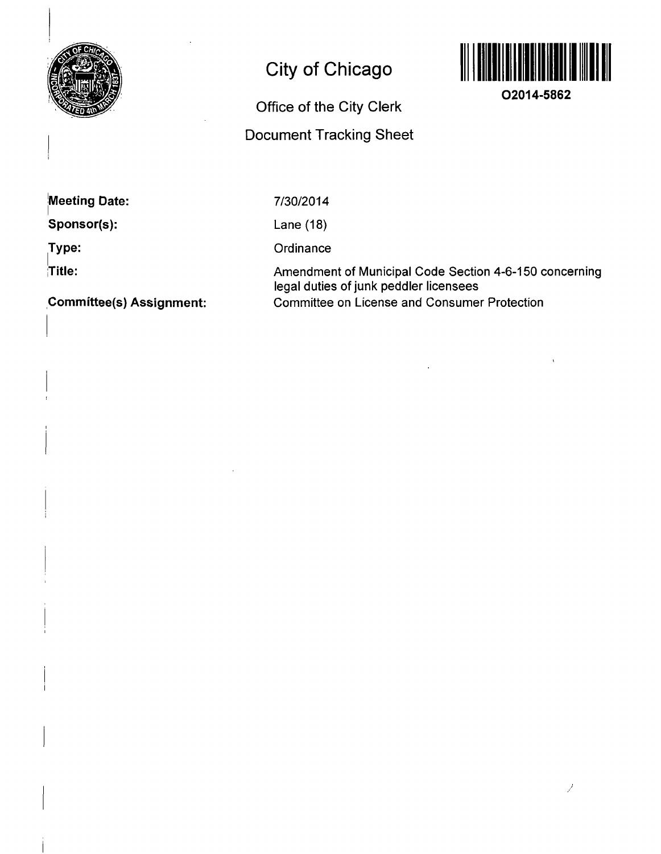

# **City of Chicago**



**02014-5862** 

## **Office of the City Clerk Document Tracking Sheet**

**jMeeting Date:** 

**Sponsor(s):** 

**Type:** 

**Title:** 

7/30/2014

Lane (18)

**Ordinance** 

Amendment of Municipal Code Section 4-6-150 concerning legal duties of junk peddler licensees Committee on License and Consumer Protection

**Committee(s) Assignment:**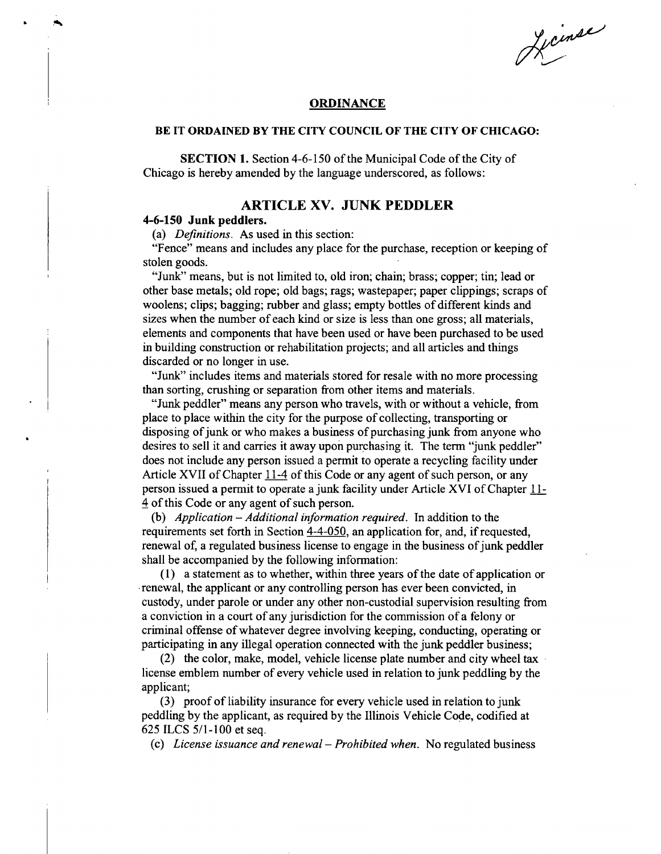Licinse

#### **ORDINANCE**

#### **BE IT ORDAINED BY THE CITY COUNCIL OF THE CITY OF CHICAGO:**

SECTION 1. Section 4-6-150 of the Municipal Code of the City of Chicago is hereby amended by the language underscored, as follows:

### **ARTICL E XV . JUN K PEDDLE R**

#### **4-6-150 Junk peddlers.**

(a) Definitions. As used in this section:

"Fence" means and includes any place for the purchase, reception or keeping of stolen goods.

"Junk" means, but is not limited to, old iron; chain; brass; copper; tin; lead or other base metals; old rope; old bags; rags; wastepaper; paper clippings; scraps of woolens; clips; bagging; mbber and glass; empty bottles of different kinds and sizes when the number of each kind or size is less than one gross; all materials, elements and components that have been used or have been purchased to be used in building construction or rehabilitation projects; and all articles and things discarded or no longer in use.

"Junk" includes items and materials stored for resale with no more processing than sorting, crushing or separation from other items and materials.

"Junk peddler" means any person who travels, with or without a vehicle, from place to place within the city for the purpose of collecting, transporting or disposing of junk or who makes a business of purchasing junk from anyone who desires to sell it and carries it away upon purchasing it. The term "junk peddler" does not include any person issued a permit to operate a recycling facility under Article XVII of Chapter 11-4 of this Code or any agent of such person, or any person issued a permit to operate a junk facility under Article XVI of Chapter 11-4 of this Code or any agent of such person.

(b) Application  $-$  Additional information required. In addition to the requirements set forth in Section 4-4-050. an application for, and, if requested, renewal of, a regulated business license to engage in the business of junk peddler shall be accompanied by the following information:

(1) a statement as to whether, within three years of the date of application or renewal, the applicant or any controlling person has ever been convicted, in custody, under parole or under any other non-custodial supervision resulting from a conviction in a court of any jurisdiction for the commission of a felony or criminal offense of whatever degree involving keeping, conducting, operating or participating in any illegal operation connected with the junk peddler business;

(2) the color, make, model, vehicle license plate number and city wheel tax license emblem number of every vehicle used in relation to junk peddling by the applicant;

(3) proof of liability insurance for every vehicle used in relation to junk peddling by the applicant, as required by the Illinois Vehicle Code, codified at 625 ILCS 5/1-100 et seq.

(c) License issuance and renewal - Prohibited when. No regulated business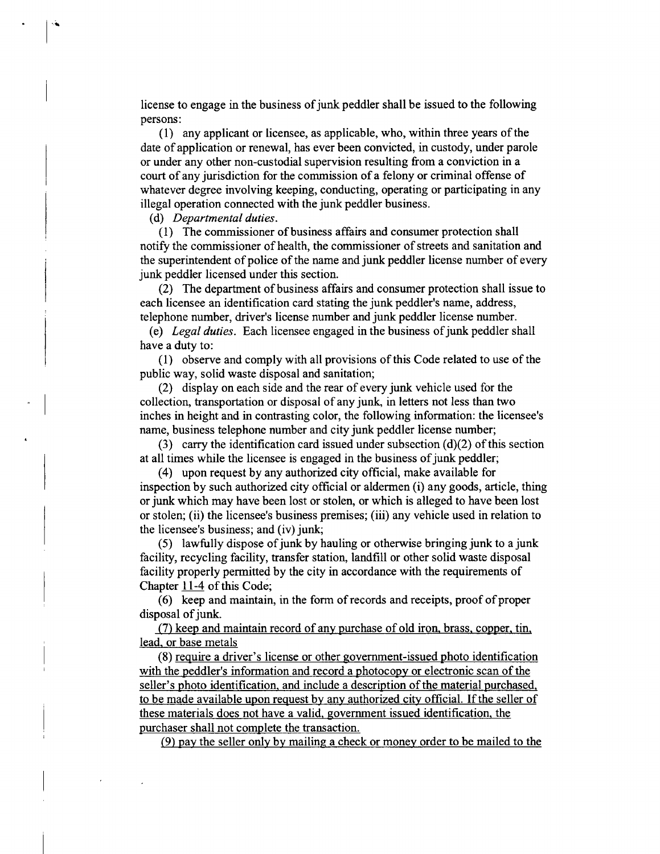license to engage in the business of junk peddler shall be issued to the following persons:

(1) any applicant or licensee, as applicable, who, within three years ofthe date of application or renewal, has ever been convicted, in custody, under parole or under any other non-custodial supervision resulting from a conviction in a court of any jurisdiction for the commission of a felony or criminal offense of whatever degree involving keeping, conducting, operating or participating in any illegal operation connected with the junk peddler business.

*(d) Departmental duties.* 

(1) The commissioner of business affairs and consumer protection shall notify the commissioner of health, the commissioner of streets and sanitation and the superintendent of police of the name and junk peddler license number of every junk peddler licensed under this section.

(2) The department of business affairs and consumer protection shall issue to each licensee an identification card stating the junk peddler's name, address, telephone number, driver's license number and junk peddler license number.

(e) Legal duties. Each licensee engaged in the business of junk peddler shall have a duty to:

(1) observe and comply with all provisions of this Code related to use of the public way, solid waste disposal and sanitation;

(2) display on each side and the rear of every junk vehicle used for the collection, transportation or disposal of any junk, in letters not less than two inches in height and in contrasting color, the following information: the licensee's name, business telephone number and city junk peddler license number;

(3) carry the identification card issued under subsection  $(d)(2)$  of this section at all times while the licensee is engaged in the business of junk peddler;

(4) upon request by any authorized city official, make available for inspection by such authorized city official or aldermen (i) any goods, article, thing or junk which may have been lost or stolen, or which is alleged to have been lost or stolen; (ii) the licensee's business premises; (iii) any vehicle used in relation to the licensee's business; and (iv) junk;

(5) lawfiilly dispose of junk by hauling or otherwise bringing junk to a junk facility, recycling facility, transfer station, landfill or other solid waste disposal facility properly permitted by the city in accordance with the requirements of Chapter 11-4 of this Code;

(6) keep and maintain, in the form of records and receipts, proof of proper disposal of junk.

(7) keep and maintain record of any purchase of old iron, brass, copper, tin, lead, or base metals

(8) require a driver's license or other government-issued photo identification with the peddler's information and record a photocopy or electronic scan of the seller's photo identification, and include a description of the material purchased, to be made available upon request by any authorized city official. If the seller of these materials does not have a valid, govemment issued identification, the purchaser shall not complete the transaction.

(9) pay the seller only by mailing a check or monev order to be mailed to the